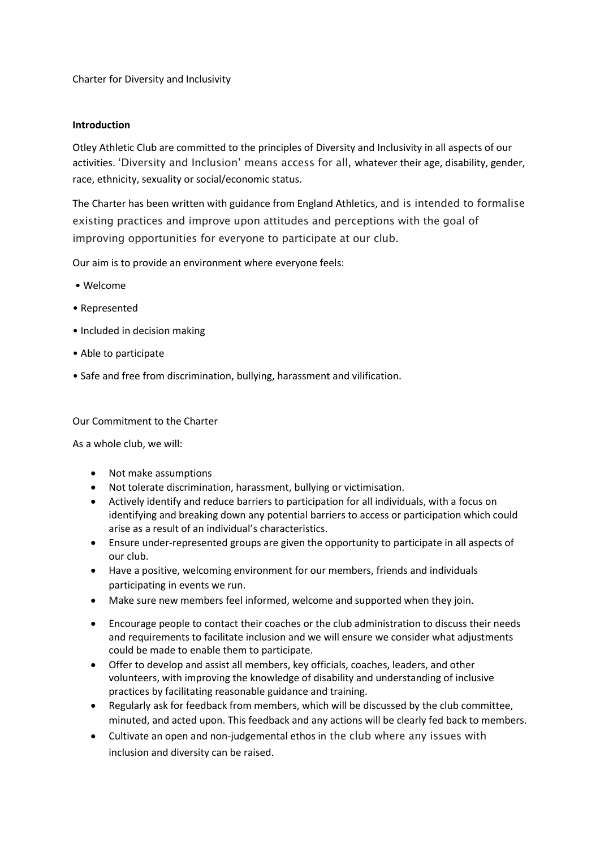Charter for Diversity and Inclusivity

## **Introduction**

Otley Athletic Club are committed to the principles of Diversity and Inclusivity in all aspects of our activities. 'Diversity and Inclusion' means access for all, whatever their age, disability, gender, race, ethnicity, sexuality or social/economic status.

The Charter has been written with guidance from England Athletics, and is intended to formalise existing practices and improve upon attitudes and perceptions with the goal of improving opportunities for everyone to participate at our club.

Our aim is to provide an environment where everyone feels:

- Welcome
- Represented
- Included in decision making
- Able to participate
- Safe and free from discrimination, bullying, harassment and vilification.

## Our Commitment to the Charter

As a whole club, we will:

- Not make assumptions
- Not tolerate discrimination, harassment, bullying or victimisation.
- Actively identify and reduce barriers to participation for all individuals, with a focus on identifying and breaking down any potential barriers to access or participation which could arise as a result of an individual's characteristics.
- Ensure under-represented groups are given the opportunity to participate in all aspects of our club.
- Have a positive, welcoming environment for our members, friends and individuals participating in events we run.
- Make sure new members feel informed, welcome and supported when they join.
- Encourage people to contact their coaches or the club administration to discuss their needs and requirements to facilitate inclusion and we will ensure we consider what adjustments could be made to enable them to participate.
- Offer to develop and assist all members, key officials, coaches, leaders, and other volunteers, with improving the knowledge of disability and understanding of inclusive practices by facilitating reasonable guidance and training.
- Regularly ask for feedback from members, which will be discussed by the club committee, minuted, and acted upon. This feedback and any actions will be clearly fed back to members.
- Cultivate an open and non-judgemental ethos in the club where any issues with inclusion and diversity can be raised.